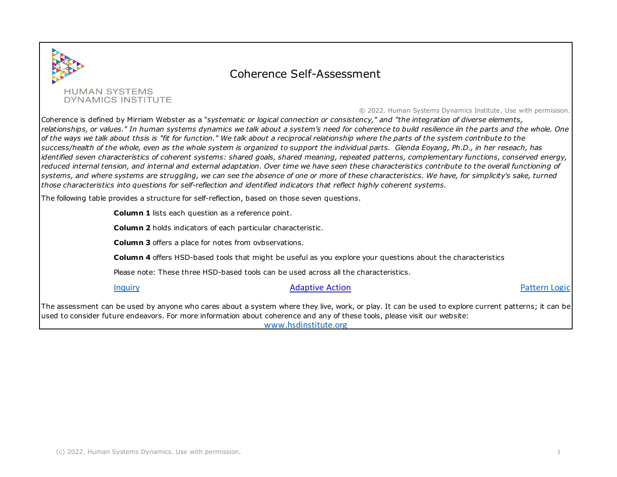

## Coherence Self-Assessment

## © 2022. Human Systems Dynamics Institute. Use with permisison.

Coherence is defined by Mirriam Webster as a "*systematic or logical connection or consistency," and "the integration of diverse elements, relationships, or values." In human systems dynamics we talk about a system's need for coherence to build resilience iin the parts and the whole. One of the ways we talk about thsis is "fit for function." We talk about a reciprocal relationship where the parts of the system contribute to the success/health of the whole, even as the whole system is organized to support the individual parts. Glenda Eoyang, Ph.D., in her reseach, has identified seven characteristics of coherent systems: shared goals, shared meaning, repeated patterns, complementary functions, conserved energy, reduced internal tension, and internal and external adaptation. Over time we have seen these characteristics contribute to the overall functioning of systems, and where systems are struggling, we can see the absence of one or more of these characteristics. We have, for simplicity's sake, turned those characteristics into questions for self-reflection and identified indicators that reflect highly coherent systems.* 

The following table provides a structure for self-reflection, based on those seven questions.

**Column 1** lists each question as a reference point.

**Column 2** holds indicators of each particular characteristic.

**Column 3** offers a place for notes from ovbservations.

**Column 4** offers HSD-based tools that might be useful as you explore your questions about the characteristics

Please note: These three HSD-based tools can be used across all the characteristics.

## [Inquiry](https://www.hsdinstitute.org/resources/resources-inquiry.html) **[Adaptive](https://www.hsdinstitute.org/resources/adaptive-action.html) Action** [Pattern Logic](https://www.hsdinstitute.org/resources/pattern-logic-blog.html) Pattern Logic

The assessment can be used by anyone who cares about a system where they live, work, or play. It can be used to explore current patterns; it can be used to consider future endeavors. For more information about coherence and any of these tools, please visit our website: www.hsdinstitute.org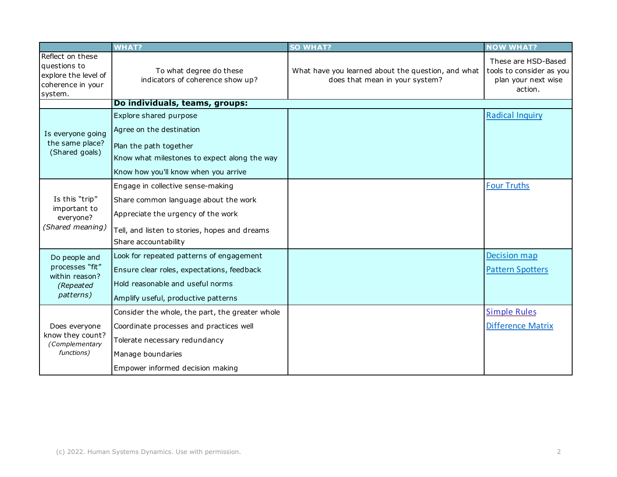|                                                                                          | <b>WHAT?</b>                                                                                                                                                                             | <b>SO WHAT?</b>                                                                      | <b>NOW WHAT?</b>                                                                  |
|------------------------------------------------------------------------------------------|------------------------------------------------------------------------------------------------------------------------------------------------------------------------------------------|--------------------------------------------------------------------------------------|-----------------------------------------------------------------------------------|
| Reflect on these<br>questions to<br>explore the level of<br>coherence in your<br>system. | To what degree do these<br>indicators of coherence show up?                                                                                                                              | What have you learned about the question, and what<br>does that mean in your system? | These are HSD-Based<br>tools to consider as you<br>plan your next wise<br>action. |
|                                                                                          | Do individuals, teams, groups:                                                                                                                                                           |                                                                                      |                                                                                   |
| Is everyone going<br>the same place?<br>(Shared goals)                                   | Explore shared purpose<br>Agree on the destination                                                                                                                                       |                                                                                      | <b>Radical Inquiry</b>                                                            |
|                                                                                          | Plan the path together<br>Know what milestones to expect along the way<br>Know how you'll know when you arrive                                                                           |                                                                                      |                                                                                   |
| Is this "trip"<br>important to<br>everyone?<br>(Shared meaning)                          | Engage in collective sense-making<br>Share common language about the work<br>Appreciate the urgency of the work<br>Tell, and listen to stories, hopes and dreams<br>Share accountability |                                                                                      | <b>Four Truths</b>                                                                |
| Do people and<br>processes "fit"<br>within reason?<br>(Repeated<br>patterns)             | Look for repeated patterns of engagement<br>Ensure clear roles, expectations, feedback<br>Hold reasonable and useful norms<br>Amplify useful, productive patterns                        |                                                                                      | <b>Decision map</b><br><b>Pattern Spotters</b>                                    |
| Does everyone<br>know they count?<br>(Complementary<br>functions)                        | Consider the whole, the part, the greater whole<br>Coordinate processes and practices well<br>Tolerate necessary redundancy<br>Manage boundaries<br>Empower informed decision making     |                                                                                      | <b>Simple Rules</b><br><b>Difference Matrix</b>                                   |